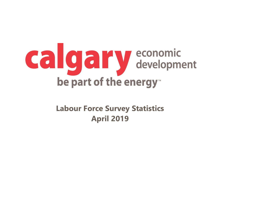

**Labour Force Survey Statistics April 2019**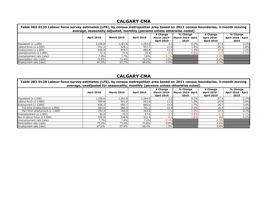#### **CALGARY CMA**

| Table 282-0135 Labour force survey estimates (LFS), by census metropolitan area based on 2011 census boundaries, 3-month moving<br>average, seasonally adjusted, monthly (persons unless otherwise noted) |                   |                   |                   |                                                     |                                       |                                               |                                        |  |
|-----------------------------------------------------------------------------------------------------------------------------------------------------------------------------------------------------------|-------------------|-------------------|-------------------|-----------------------------------------------------|---------------------------------------|-----------------------------------------------|----------------------------------------|--|
|                                                                                                                                                                                                           | <b>April 2018</b> | <b>March 2019</b> | <b>April 2019</b> | # Change<br><b>March 2019-</b><br><b>April 2019</b> | % Change<br>March 2019- April<br>2019 | # Change<br>April 2018 -<br><b>April 2019</b> | % Change<br>April 2018 - April<br>2019 |  |
| Population (x 1,000)                                                                                                                                                                                      | 1,236.6           | 1,261.8           | .264.0            | 2.2                                                 | 0.2%                                  | 27.4                                          | 2.2%                                   |  |
| Labour force $(x 1,000)$                                                                                                                                                                                  | 912.2             | 926.1             | 937.7             | 11.6                                                | 1.3%                                  | 25.5                                          | 2.8%                                   |  |
| Employment $(x 1,000)$                                                                                                                                                                                    | 839.9             | 854.7             | 866.9             | 12.2                                                | 1.4%                                  | 27.0                                          | 3.2%                                   |  |
| Unemployment $(x 1,000)$                                                                                                                                                                                  | 72.3              | 71.4              | 70.8              | $-0.6$                                              | $-0.8%$                               |                                               | $-2.1%$                                |  |
| Unemployment rate (rate)                                                                                                                                                                                  | 7.9%              | 7.7%              | 7.6%              | $-0.1%$                                             |                                       | $-0.3%$                                       |                                        |  |
| Participation rate (rate)                                                                                                                                                                                 | 73.8%             | 73.4%             | 74.2%             | 0.8%                                                |                                       | 0.4%                                          |                                        |  |
| Employment rate (rate)                                                                                                                                                                                    | 67.9%             | 67.7%             | 68.6%             | 0.9%                                                |                                       | 0.7%                                          |                                        |  |

#### **CALGARY CMA**

| Table 282-0128 Labour force survey estimates (LFS), by census metropolitan area based on 2011 census boundaries, 3-month moving<br>average, unadjusted for seasonality, monthly (persons unless otherwise noted) |                   |                   |                   |                                                     |                                       |                                               |                                        |  |  |
|------------------------------------------------------------------------------------------------------------------------------------------------------------------------------------------------------------------|-------------------|-------------------|-------------------|-----------------------------------------------------|---------------------------------------|-----------------------------------------------|----------------------------------------|--|--|
|                                                                                                                                                                                                                  | <b>April 2018</b> | <b>March 2019</b> | <b>April 2019</b> | # Change<br><b>March 2019-</b><br><b>April 2019</b> | % Change<br>March 2019- April<br>2019 | # Change<br>April 2018 -<br><b>April 2019</b> | % Change<br>April 2018 - April<br>2019 |  |  |
| Population (x 1,000)                                                                                                                                                                                             | 1,236.6           | 1,261.8           | 1,264.0           | 2.2                                                 | 0.2%                                  | 27.4                                          | 2.2%                                   |  |  |
| Labour force $(x 1,000)$                                                                                                                                                                                         | 905.8             | 921.0             | 932.6             | 11.6                                                | 1.3%                                  | 26.8                                          | 3.0%                                   |  |  |
| Employment $(x 1,000)$                                                                                                                                                                                           | 836.3             | 850.7             | 865.0             | 14.3                                                | 1.7%                                  | 28.7                                          | 3.4%                                   |  |  |
| Full-time employment (x 1,000)                                                                                                                                                                                   | 684.9             | 685.3             | 701.2             | 15.9                                                | 2.3%                                  | 16.3                                          | 2.4%                                   |  |  |
| Part-time employment (x 1,000)                                                                                                                                                                                   | 151.4             | 165.4             | 163.8             | $-1.6$                                              | $-1.0%$                               | 12.4                                          | 8.2%                                   |  |  |
| Unemployment $(x 1,000)$                                                                                                                                                                                         | 69.5              | 70.3              | 67.6              | $-2.7$                                              | $-3.8%$                               | $-1.9$                                        | $-2.7%$                                |  |  |
| Not in labour force (x 1,000)                                                                                                                                                                                    | 330.8             | 340.8             | 331.4             | $-9.4$                                              | $-2.8%$                               | 0.6                                           | 0.2%                                   |  |  |
| Unemployment rate (rate)                                                                                                                                                                                         | 7.7%              | 7.6%              | 7.2%              | $-0.4%$                                             |                                       | $-0.5%$                                       |                                        |  |  |
| Participation rate (rate)                                                                                                                                                                                        | 73.2%             | 73.0%             | 73.8%             | 0.8%                                                |                                       | $0.6\%$                                       |                                        |  |  |
| Employment rate (rate)                                                                                                                                                                                           | 67.6%             | 67.4%             | 68.4%             | $1.0\%$                                             |                                       | $0.8\%$                                       |                                        |  |  |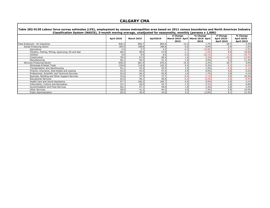#### **CALGARY CMA**

Г

| Table 282-0130 Labour force survey estimates (LFS), employment by census metropolitan area based on 2011 census boundaries and North American Industry<br>Classification System (NAICS), 3-month moving average, unadjusted for seasonality, monthly (persons x 1,000) |                   |                   |           |                  |                                                           |                                               |                                               |  |  |
|------------------------------------------------------------------------------------------------------------------------------------------------------------------------------------------------------------------------------------------------------------------------|-------------------|-------------------|-----------|------------------|-----------------------------------------------------------|-----------------------------------------------|-----------------------------------------------|--|--|
|                                                                                                                                                                                                                                                                        | <b>April 2018</b> | <b>March 2019</b> | April2019 | # Change<br>2019 | % Change<br>March 2019- April   March 2019- April<br>2019 | # Change<br>April 2018 -<br><b>April 2019</b> | % Change<br>April 2018 -<br><b>April 2019</b> |  |  |
| Total Employed - All Industries                                                                                                                                                                                                                                        | 836.3             | 850.7             | 865.0     | 14.3             | 1.7%                                                      | 28.7                                          | 3.4%                                          |  |  |
| Goods-Producing Sector                                                                                                                                                                                                                                                 | 185.9             | 188.8             | 188.8     | 0.0              | $0.0\%$                                                   | 2.9                                           | 1.6%                                          |  |  |
| Agriculture                                                                                                                                                                                                                                                            | 3.4               | 3.7               | 3.3       | $-0.4$           | $-10.8%$                                                  | $-0.1$                                        | $-2.9%$                                       |  |  |
| Forestry, Fishing, Mining, Quarrying, Oil and Gas                                                                                                                                                                                                                      | 48.4              | 58.9              | 57.8      | $-1.1$           | $-1.9%$                                                   | 9.4                                           | 19.4%                                         |  |  |
| <b>Utilities</b>                                                                                                                                                                                                                                                       | 9.6               | 8.9               | 8.0       | $-0.9$           | $-10.1%$                                                  | $-1.6$                                        | $-16.7%$                                      |  |  |
| Construction                                                                                                                                                                                                                                                           | 78.4              | 67.0              | 68.4      | 4.4              | 2.1%                                                      | $-10.0$                                       | $-12.8%$                                      |  |  |
| Manufacturing                                                                                                                                                                                                                                                          | 46.1              | 50.3              | 51.3      | L.O              | 2.0%                                                      | 5.2                                           | 11.3%                                         |  |  |
| Services-Producing Sector                                                                                                                                                                                                                                              | 650.5             | 661.9             | 676.2     | 14.3             | 2.2%                                                      | 25.7                                          | 4.0%                                          |  |  |
| Wholesale & Retail Trade                                                                                                                                                                                                                                               | 120.8             | 119.9             | 120.3     | 0.4              | 0.3%                                                      | $-0.5$                                        | $-0.4%$                                       |  |  |
| Transportation and Warehousing                                                                                                                                                                                                                                         | 54.1              | 52.5              | 53.5      | 1.0              | 1.9%                                                      | $-0.6$                                        | $-1.1%$                                       |  |  |
| Finance, Insurance, Real Estate and Leasing                                                                                                                                                                                                                            | 43.4              | 43.5              | 47.4      | 3.9              | $9.0\%$                                                   | 4.0                                           | 9.2%                                          |  |  |
| Professional, Scientific and Technical Services                                                                                                                                                                                                                        | 92.0              | 94.2              | 95.8      | 1.6              | 1.7%                                                      | 3.8                                           | 4.1%                                          |  |  |
| Business, Building and Other Support Services                                                                                                                                                                                                                          | 33.6              | 37.5              | 37.1      | $-0.4$           | $-1.1%$                                                   | 3.5                                           | 10.4%                                         |  |  |
| <b>Educational Services</b>                                                                                                                                                                                                                                            | 52.5              | 49.1              | 48.9      | $-0.2$           | $-0.4%$                                                   | $-3.6$                                        | $-6.9%$                                       |  |  |
| Health Care and Social Assistance                                                                                                                                                                                                                                      | 97.7              | 100.2             | 100.7     | 0.5              | 0.5%                                                      | 3.0                                           | 3.1%                                          |  |  |
| Information, Culture and Recreation                                                                                                                                                                                                                                    | 33.1              | 36.5              | 34.7      | $-1.8$           | $-4.9%$                                                   | 1.6                                           | 4.8%                                          |  |  |
| Accommodation and Food Services                                                                                                                                                                                                                                        | 56.1              | 57.1              | 59.0      | 1.9              | 3.3%                                                      | 2.9                                           | 5.2%                                          |  |  |
| Other Services                                                                                                                                                                                                                                                         | 38.6              | 41.2              | 44.2      | 3.0              | 7.3%                                                      | 5.6                                           | 14.5%                                         |  |  |
| Public Administration                                                                                                                                                                                                                                                  | 28.5              | 30.4              | 34.6      | 4.2              | 13.8%                                                     | 6.1                                           | 21.4%                                         |  |  |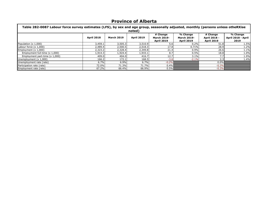### **Province of Alberta**

| Table 282-0087 Labour force survey estimates (LFS), by sex and age group, seasonally adjusted, monthly (persons unless otheRXise<br>noted) |                   |                   |                   |                                                     |                                                     |                                               |                                        |  |  |
|--------------------------------------------------------------------------------------------------------------------------------------------|-------------------|-------------------|-------------------|-----------------------------------------------------|-----------------------------------------------------|-----------------------------------------------|----------------------------------------|--|--|
|                                                                                                                                            | <b>April 2018</b> | <b>March 2019</b> | <b>April 2019</b> | # Change<br><b>March 2019-</b><br><b>April 2019</b> | % Change<br><b>March 2019-</b><br><b>April 2019</b> | # Change<br>April 2018 -<br><b>April 2019</b> | % Change<br>April 2018 - April<br>2019 |  |  |
| Population (x 1,000)                                                                                                                       | 3,459.1           | 3,505.3           | 3,510.9           | 5.6                                                 | 0.2%                                                | 51.8                                          | 1.5%                                   |  |  |
| Labour force $(x 1,000)$                                                                                                                   | 2,489.4           | 2,500.5           | 2,518.3           | 17.8                                                | 0.71%                                               | 28.9                                          | 1.2%                                   |  |  |
| Employment (x 1,000)                                                                                                                       | 2,323.2           | 2,328.4           | 2,349.8           | 21.4                                                | 0.9%                                                | 26.6                                          | 1.1%                                   |  |  |
| Employment full-time (x 1,000)                                                                                                             | 1,914.3           | 1,924.41          | 1,933.1           | 8.7                                                 | 0.5%                                                | 18.8                                          | 1.0%                                   |  |  |
| Employment part-time $(x 1,000)$                                                                                                           | 409.0             | 404.0             | 416.7             | 12.7                                                | 3.1%                                                | 7.7                                           | 1.9%                                   |  |  |
| Unemployment (x 1,000)                                                                                                                     | 166.2             | 172.1             | 168.5             | $-3.6$                                              | $-2.1%$                                             | 2.3                                           | 1.4%                                   |  |  |
| Unemployment rate (rate)                                                                                                                   | 6.7%              | 6.9%              | 6.7%              | $-0.2\%$                                            |                                                     | $0.0\%$                                       |                                        |  |  |
| Participation rate (rate)                                                                                                                  | 72.0%             | 71.3%             | 71.7%             | $0.4\%$                                             |                                                     | $-0.3%$                                       |                                        |  |  |
| Employment rate (rate)                                                                                                                     | 67.2%             | 66.4%             | 66.9%             | $0.5\%$                                             |                                                     | $-0.3%$                                       |                                        |  |  |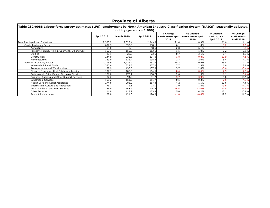#### **Province of Alberta**

| Table 282-0088 Labour force survey estimates (LFS), employment by North American Industry Classification System (NAICS), seasonally adjusted,<br>monthly (persons $x$ 1,000) |                   |                   |                   |                                       |                                       |                                               |                                               |
|------------------------------------------------------------------------------------------------------------------------------------------------------------------------------|-------------------|-------------------|-------------------|---------------------------------------|---------------------------------------|-----------------------------------------------|-----------------------------------------------|
|                                                                                                                                                                              | <b>April 2018</b> | <b>March 2019</b> | <b>April 2019</b> | # Change<br>March 2019- April<br>2019 | % Change<br>March 2019- April<br>2019 | # Change<br>April 2018 -<br><b>April 2019</b> | % Change<br>April 2018 -<br><b>April 2019</b> |
| Total Employed - All Industries                                                                                                                                              | 2,323.2           | 2,328.4           | 2,349.8           | 21.4                                  | 0.9%                                  | 26.6                                          | 1.1%                                          |
| Goods-Producing Sector                                                                                                                                                       | 607.3             | 592.0             | 598.1             | 6.1                                   | 1.0%                                  | $-9.2$                                        | $-1.5%$                                       |
| Agriculture                                                                                                                                                                  | 53.0              | 45.8              | 48.6              | 2.8                                   | 6.1%                                  | $-4.4$                                        | $-8.3%$                                       |
| Forestry, Fishing, Mining, Quarrying, Oil and Gas                                                                                                                            | 153.3             | 152.0             | 153.5             | 1.5                                   | 1.0%                                  | 0.2                                           | 0.1%                                          |
| Utilities                                                                                                                                                                    | 23.1              | 22.8              | 23.5              | 0.7                                   | 3.1%                                  | 0.4                                           | 1.7%                                          |
| Construction                                                                                                                                                                 | 244.9             | 235.8             | 234.0             | $-1.8$                                | $-0.8%$                               | $-10.9$                                       | $-4.5%$                                       |
| Manufacturing                                                                                                                                                                | 133.0             | 135.7             | 138.4             | 2.7                                   | 2.0%                                  | 5.4                                           | 4.1%                                          |
| Services-Producing Sector                                                                                                                                                    | 1,715.9           | 1,736.4           | 1,751.7           | 15.3                                  | 0.9%                                  | 35.8                                          | 2.1%                                          |
| Wholesale & Retail Trade                                                                                                                                                     | 330.6             | 329.5             | 337.2             | 7.7                                   | 2.3%                                  | 6.6                                           | 2.0%                                          |
| Transportation and Warehousing                                                                                                                                               | 137.9             | 133.6             | 137.3             | 3.7                                   | 2.8%                                  | $-0.6$                                        | $-0.4%$                                       |
| Finance, Insurance, Real Estate and Leasing                                                                                                                                  | 107.1             | 105.0             | 104.6             | $-0.4$                                | $-0.4%$                               | $-2.5$                                        | $-2.3%$                                       |
| Professional, Scientific and Technical Services                                                                                                                              | 181.8             | 178.1             | 180.7             | 2.6                                   | 1.5%                                  | $-1.1$                                        | $-0.6%$                                       |
| Business, Building and Other Support Services                                                                                                                                | 82.2              | 94.9              | 91.2              | $-3.7$                                | $-3.9%$                               | 9.0                                           | 10.9%                                         |
| <b>Educational Services</b>                                                                                                                                                  | 159.2             | 151.2             | 151.7             | 0.5                                   | 0.3%                                  | $-7.5$                                        | $-4.7%$                                       |
| Health Care and Social Assistance                                                                                                                                            | 274.8             | 283.2             | 287.4             | 4.2                                   | 1.5%                                  | 12.6                                          | 4.6%                                          |
| Information, Culture and Recreation                                                                                                                                          | 76.7              | 72.1              | 73.1              | 1.0                                   | 1.4%                                  | $-3.6$                                        | $-4.7%$                                       |
| Accommodation and Food Services                                                                                                                                              | 146.0             | 148.9             | 144.5             | $-4.4$                                | $-3.0%$                               | $-1.5$                                        | $-1.0%$                                       |
| <b>Other Services</b>                                                                                                                                                        | 111.8             | 118.9             | 123.9             | 5.0                                   | 4.2%                                  | 12.1                                          | 10.8%                                         |
| <b>Public Administration</b>                                                                                                                                                 | 107.8             | 121.0             | 120.0             | $-1.0$                                | $-0.8%$                               | 12.2                                          | 11.3%                                         |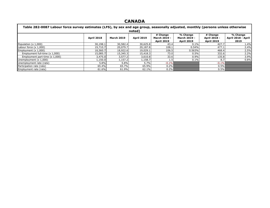#### **CANADA**

| Table 282-0087 Labour force survey estimates (LFS), by sex and age group, seasonally adjusted, monthly (persons unless otherwise<br>noted) |                   |                   |                   |                                                      |                                                      |                                               |                                        |  |  |
|--------------------------------------------------------------------------------------------------------------------------------------------|-------------------|-------------------|-------------------|------------------------------------------------------|------------------------------------------------------|-----------------------------------------------|----------------------------------------|--|--|
|                                                                                                                                            | <b>April 2018</b> | <b>March 2019</b> | <b>April 2019</b> | # Change<br><b>March 2019 -</b><br><b>April 2019</b> | % Change<br><b>March 2019 -</b><br><b>April 2019</b> | # Change<br>April 2018 -<br><b>April 2019</b> | % Change<br>April 2018 - April<br>2019 |  |  |
| Population (x 1,000)                                                                                                                       | 30,198.1          | 30,582.4          | 30,625.8          | 43.4                                                 | 0.1%                                                 | 427.7                                         | 1.4%                                   |  |  |
| Labour force $(x 1,000)$                                                                                                                   | 19,710.7          | 20,079.7          | 20,187.8          | 108.1                                                | 0.54%                                                | 477.1                                         | 2.4%                                   |  |  |
| Employment $(x 1,000)$                                                                                                                     | 18,560.7          | 18,922.6          | 19,029.1          | 106.5                                                | 0.563%                                               | 468.4                                         | 2.5%                                   |  |  |
| Employment full-time (x 1,000)                                                                                                             | 15,085.7          | 15,345.3          | 15,418.3          | 73.0                                                 | 0.5%                                                 | 332.6                                         | 2.2%                                   |  |  |
| Employment part-time (x 1,000)                                                                                                             | 3,475.0           | 3,577.2           | 3,610.8           | 33.6                                                 | 0.9%                                                 | 135.8                                         | 3.9%                                   |  |  |
| Unemployment $(x 1,000)$                                                                                                                   | 1,150.0           | 1,157.2           | 1,158.7           |                                                      | 0.1%                                                 | 8.7                                           | 0.8%                                   |  |  |
| Unemployment rate (rate)                                                                                                                   | 5.8%              | 5.8%              | 5.7%              | $-0.1\%$                                             |                                                      | $-0.1%$                                       |                                        |  |  |
| Participation rate (rate)                                                                                                                  | 65.4%             | 65.7%             | 65.9%             | 0.2%                                                 |                                                      | 0.5%                                          |                                        |  |  |
| Employment rate (rate)                                                                                                                     | 61.6%             | 61.9%             | 62.1%             | $0.2\%$                                              |                                                      | $0.5\%$                                       |                                        |  |  |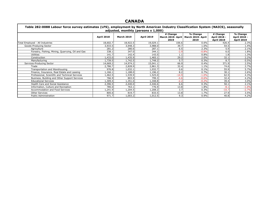#### **CANADA**

÷

| Table 282-0088 Labour force survey estimates (LFS), employment by North American Industry Classification System (NAICS), seasonally<br>adjusted, monthly (persons x 1,000) |                   |                   |                   |                                                           |                  |                                               |                                               |
|----------------------------------------------------------------------------------------------------------------------------------------------------------------------------|-------------------|-------------------|-------------------|-----------------------------------------------------------|------------------|-----------------------------------------------|-----------------------------------------------|
|                                                                                                                                                                            | <b>April 2018</b> | <b>March 2019</b> | <b>April 2019</b> | # Change<br>March 2019- April   March 2019- April<br>2019 | % Change<br>2019 | # Change<br>April 2018 -<br><b>April 2019</b> | % Change<br>April 2018 -<br><b>April 2019</b> |
| Total Employed - All Industries                                                                                                                                            | 18,602.7          | 18,922.5          | 19,029.1          | 106.6                                                     | 0.6%             | 426.4                                         | 2.3%                                          |
| Goods-Producing Sector                                                                                                                                                     | 3,933.5           | 3,948.3           | 3,988.0           | 39.7                                                      | 1.0%             | 54.5                                          | 1.4%                                          |
| Agriculture                                                                                                                                                                | 281.2             | 280.6             | 287.1             | 6.5                                                       | 2.3%             | 5.9                                           | 2.1%                                          |
| Forestry, Fishing, Mining, Quarrying, Oil and Gas                                                                                                                          | 338.1             | 347.0             | 344.1             | $-2.9$                                                    | $-0.8%$          | 6.0                                           | 1.8%                                          |
| <b>Utilities</b>                                                                                                                                                           | 141.7             | 142.4             | 143.5             | 1.1                                                       | 0.8%             | 1.8                                           | 1.3%                                          |
| Construction                                                                                                                                                               | ,433.0            | .435.9            | ,465.1            | 29.2                                                      | 2.0%             | 32.1                                          | 2.2%                                          |
| Manufacturing                                                                                                                                                              | 1,739.5           | 1,742.5           | 1,748.2           | 5.7                                                       | 0.3%             | 8.7                                           | 0.5%                                          |
| Services-Producing Sector                                                                                                                                                  | 14,669.2          | 14,974.2          | 15,041.1          | 66.9                                                      | 0.4%             | 371.9                                         | 2.5%                                          |
| Trade                                                                                                                                                                      | 2,786.7           | 2,828.9           | 2,861.3           | 32.4                                                      | 1.1%             | 74.6                                          | 2.7%                                          |
| Transportation and Warehousing                                                                                                                                             | 976.8             | 1,032.1           | 1,032.7           | 0.6                                                       | 0.1%             | 55.9                                          | 5.7%                                          |
| Finance, Insurance, Real Estate and Leasing                                                                                                                                | 1,166.1           | 1,188.0           | 1,196.2           | 8.2                                                       | 0.7%             | 30.1                                          | 2.6%                                          |
| Professional, Scientific and Technical Services                                                                                                                            | 1,462.5           | 1,539.9           | 1,525.0           | $-14.9$                                                   | $-1.0%$          | 62.5                                          | 4.3%                                          |
| Business, Building and Other Support Services                                                                                                                              | 766.9             | 803.9             | 799.3             | $-4.6$                                                    | $-0.6%$          | 32.4                                          | 4.2%                                          |
| <b>Educational Services</b>                                                                                                                                                | 1,309.4           | 1,351.0           | 1,348.8           | $-2.2$                                                    | $-0.2%$          | 39.4                                          | 3.0%                                          |
| Health Care and Social Assistance                                                                                                                                          | 2,396.5           | 2,440.0           | 2,446.6           | 6.6                                                       | 0.3%             | 50.1                                          | 2.1%                                          |
| Information, Culture and Recreation                                                                                                                                        | 785.0             | 763.1             | 776.9             | 13.8                                                      | 1.8%             | $-8.1$                                        | $-1.0%$                                       |
| Accommodation and Food Services                                                                                                                                            | l <b>,241.9</b>   | 1,204.5           | 1,208.2           | 3.7                                                       | 0.3%             | $-33.7$                                       | $-2.7%$                                       |
| <b>Other Services</b>                                                                                                                                                      | 805.6             | 819.7             | 833.5             | 13.8                                                      | 1.7%             | 27.9                                          | 3.5%                                          |
| <b>Public Administration</b>                                                                                                                                               | 971.7             | 1,003.2           | 1,012.5           | 9.3                                                       | 0.9%             | 40.8                                          | 4.2%                                          |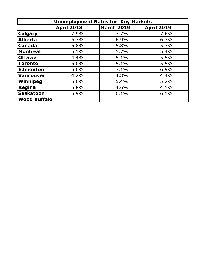| <b>Unemployment Rates for Key Markets</b> |                   |                   |                   |  |  |  |  |  |  |
|-------------------------------------------|-------------------|-------------------|-------------------|--|--|--|--|--|--|
|                                           | <b>April 2018</b> | <b>March 2019</b> | <b>April 2019</b> |  |  |  |  |  |  |
| <b>Calgary</b>                            | 7.9%              | 7.7%              | 7.6%              |  |  |  |  |  |  |
| Alberta                                   | 6.7%              | 6.9%              | 6.7%              |  |  |  |  |  |  |
| <b>Canada</b>                             | 5.8%              | 5.8%              | 5.7%              |  |  |  |  |  |  |
| <b>Montreal</b>                           | 6.1%              | 5.7%              | 5.4%              |  |  |  |  |  |  |
| <b>Ottawa</b>                             | 4.4%              | 5.1%              | 5.5%              |  |  |  |  |  |  |
| Toronto                                   | 6.0%              | 5.1%              | 5.5%              |  |  |  |  |  |  |
| Edmonton                                  | 6.6%              | 7.1%              | 6.9%              |  |  |  |  |  |  |
| <b>Vancouver</b>                          | 4.2%              | 4.8%              | 4.4%              |  |  |  |  |  |  |
| Winnipeg                                  | 6.6%              | 5.4%              | 5.2%              |  |  |  |  |  |  |
| Regina                                    | 5.8%              | 4.6%              | 4.5%              |  |  |  |  |  |  |
| Saskatoon                                 | 6.9%              | 6.1%              | 6.1%              |  |  |  |  |  |  |
| <b>Wood Buffalo</b>                       |                   |                   |                   |  |  |  |  |  |  |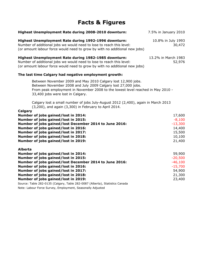## **Facts & Figures**

| Highest Unemployment Rate during 2008-2010 downturn:                                                                                                                                                                                                  | 7.5% in January 2010          |
|-------------------------------------------------------------------------------------------------------------------------------------------------------------------------------------------------------------------------------------------------------|-------------------------------|
| Highest Unemployment Rate during 1992-1996 downturn:<br>Number of additional jobs we would need to lose to reach this level:<br>(or amount labour force would need to grow by with no additional new jobs)                                            | 10.8% in July 1993<br>30,472  |
| Highest Unemployment Rate during 1982-1985 downturn:<br>Number of additional jobs we would need to lose to reach this level:<br>(or amount labour force would need to grow by with no additional new jobs)                                            | 13.2% in March 1983<br>52,976 |
| The last time Calgary had negative employment growth:                                                                                                                                                                                                 |                               |
| Between November 2009 and May 2010 Calgary lost 12,900 jobs.<br>Between November 2008 and July 2009 Calgary lost 27,000 jobs.<br>From peak employment in November 2008 to the lowest level reached in May 2010 -<br>33,400 jobs were lost in Calgary. |                               |
| Calgary lost a small number of jobs July-August 2012 (2,400), again in March 2013<br>(3,200), and again (3,300) in February to April 2014.                                                                                                            |                               |
| Calgary<br>Number of jobs gained/lost in 2014:                                                                                                                                                                                                        | 17,600                        |
| Number of jobs gained/lost in 2015:                                                                                                                                                                                                                   | $-8,100$                      |
| Number of jobs gained/lost December 2014 to June 2016:                                                                                                                                                                                                | $-13,300$                     |
| Number of jobs gained/lost in 2016:                                                                                                                                                                                                                   | 14,400                        |
| Number of jobs gained/lost in 2017:                                                                                                                                                                                                                   | 15,500                        |
| Number of jobs gained/lost in 2018:                                                                                                                                                                                                                   | 10,100                        |
| Number of jobs gained/lost in 2019:                                                                                                                                                                                                                   | 21,400                        |
| <b>Alberta</b>                                                                                                                                                                                                                                        |                               |
| Number of jobs gained/lost in 2014:                                                                                                                                                                                                                   | 59,900                        |
| Number of jobs gained/lost in 2015:                                                                                                                                                                                                                   | $-20,500$                     |
| Number of jobs gained/lost December 2014 to June 2016:                                                                                                                                                                                                | $-46,100$                     |
| Number of jobs gained/lost in 2016:                                                                                                                                                                                                                   | $-15,700$                     |
| Number of jobs gained/lost in 2017:                                                                                                                                                                                                                   | 54,900                        |
| Number of jobs gained/lost in 2018:                                                                                                                                                                                                                   | 21,300                        |
| Number of jobs gained/lost in 2019:                                                                                                                                                                                                                   | 23,400                        |
| Source: Table 282-0135 (Calgary, Table 282-0087 (Alberta), Statistics Canada                                                                                                                                                                          |                               |
| Note: Labour Force Survey, Employment, Seasonally Adjusted                                                                                                                                                                                            |                               |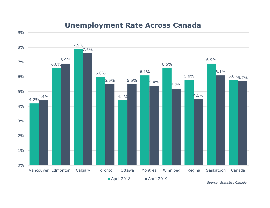## **Unemployment Rate Across Canada**

9%



*Source: Statistics Canada*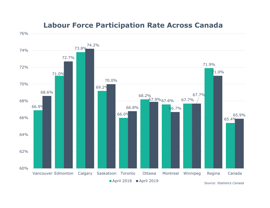

### **Labour Force Participation Rate Across Canada**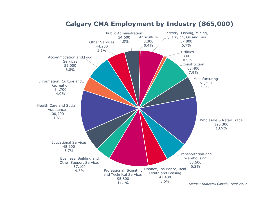

### **Calgary CMA Employment by Industry (865,000)**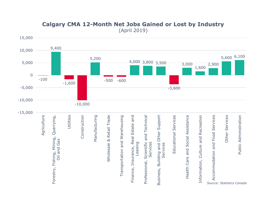

### **Calgary CMA 12-Month Net Jobs Gained or Lost by Industry**  (April 2019)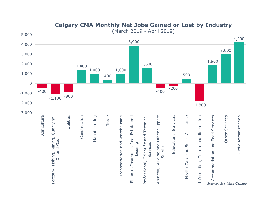

### **Calgary CMA Monthly Net Jobs Gained or Lost by Industry**

(March 2019 - April 2019)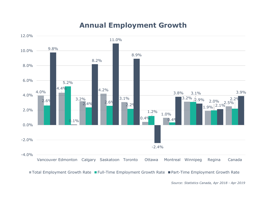# **Annual Employment Growth**



■ Total Employment Growth Rate ■ Full-Time Employment Growth Rate ■ Part-Time Employment Growth Rate

*Source: Statistics Canada, Apr 2018 - Apr 2019*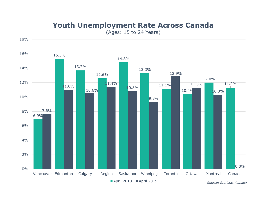# **Youth Unemployment Rate Across Canada**

(Ages: 15 to 24 Years)

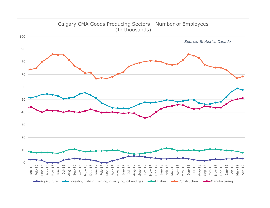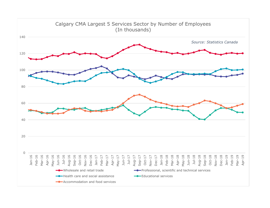